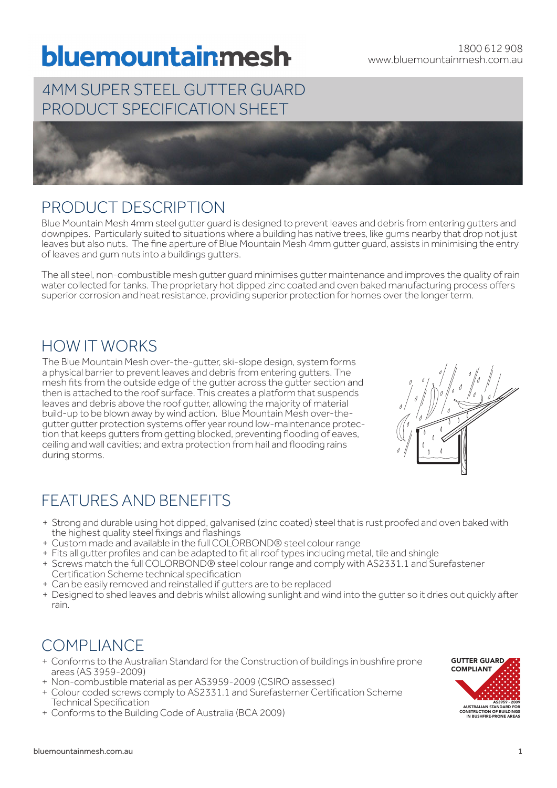# bluemountainmesh

## 4MM SUPER STEEL GUTTER GUARD PRODUCT SPECIFICATION SHEET



## PRODUCT DESCRIPTION

Blue Mountain Mesh 4mm steel gutter guard is designed to prevent leaves and debris from entering gutters and downpipes. Particularly suited to situations where a building has native trees, like gums nearby that drop not just leaves but also nuts. The fine aperture of Blue Mountain Mesh 4mm gutter guard, assists in minimising the entry of leaves and gum nuts into a buildings gutters.

The all steel, non-combustible mesh gutter guard minimises gutter maintenance and improves the quality of rain water collected for tanks. The proprietary hot dipped zinc coated and oven baked manufacturing process offers superior corrosion and heat resistance, providing superior protection for homes over the longer term.

## HOW IT WORKS

The Blue Mountain Mesh over-the-gutter, ski-slope design, system forms a physical barrier to prevent leaves and debris from entering gutters. The mesh fits from the outside edge of the gutter across the gutter section and then is attached to the roof surface. This creates a platform that suspends leaves and debris above the roof gutter, allowing the majority of material build-up to be blown away by wind action. Blue Mountain Mesh over-the-<br>gutter gutter protection systems offer year round low-maintenance protection that keeps gutters from getting blocked, preventing flooding of eaves, ceiling and wall cavities; and extra protection from hail and flooding rains during storms.



# FEATURES AND BENEFITS

- + Strong and durable using hot dipped, galvanised (zinc coated) steel that is rust proofed and oven baked with the highest quality steel fixings and flashings
- + Custom made and available in the full COLORBOND® steel colour range
- + Fits all gutter profiles and can be adapted to fit all roof types including metal, tile and shingle
- + Screws match the full COLORBOND® steel colour range and comply with AS2331.1 and Surefastener Certification Scheme technical specification
- + Can be easily removed and reinstalled if gutters are to be replaced
- + Designed to shed leaves and debris whilst allowing sunlight and wind into the gutter so it dries out quickly after rain.

# COMPLIANCE

- + Conforms to the Australian Standard for the Construction of buildings in bushfire prone areas (AS 3959-2009)
- + Non-combustible material as per AS3959-2009 (CSIRO assessed)
- + Colour coded screws comply to AS2331.1 and Surefasterner Certification Scheme Technical Specification
- + Conforms to the Building Code of Australia (BCA 2009)

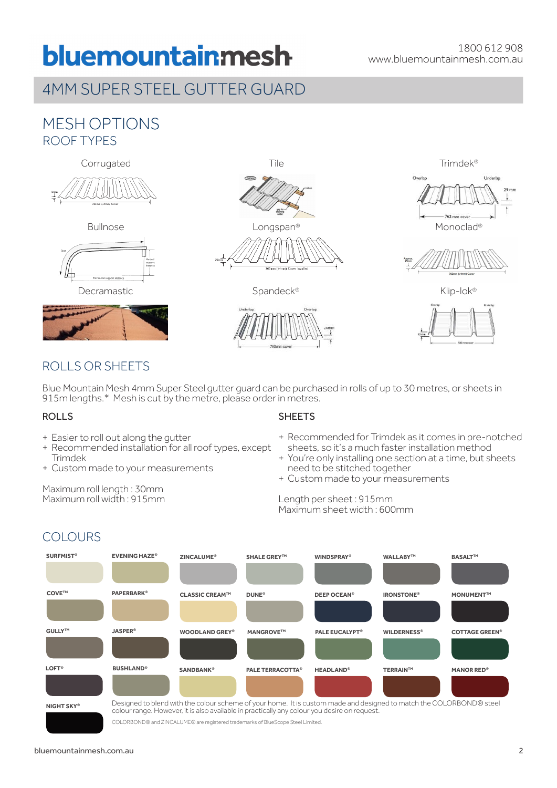# bluemountainmesh

## 4MM SUPER STEEL GUTTER GUARD

### MESH OPTIONS ROOF TYPES











Bullnose **Example 2018** Longspan® **Monoclay** Monoclad®







### ROLLS OR SHEETS

Blue Mountain Mesh 4mm Super Steel gutter guard can be purchased in rolls of up to 30 metres, or sheets in 915m lengths.\* Mesh is cut by the metre, please order in metres.

#### ROLLS

- + Easier to roll out along the gutter
- + Recommended installation for all roof types, except Trimdek
- + Custom made to your measurements

Maximum roll length : 30mm Maximum roll width : 915mm

#### **SHEETS**

- + Recommended for Trimdek as it comes in pre-notched sheets, so it's a much faster installation method
- + You're only installing one section at a time, but sheets need to be stitched together
- + Custom made to your measurements

#### Length per sheet : 915mm Maximum sheet width : 600mm



COLORBOND® and ZINCALUME® are registered trademarks of BlueScope Steel Limited.

## **COLOURS**